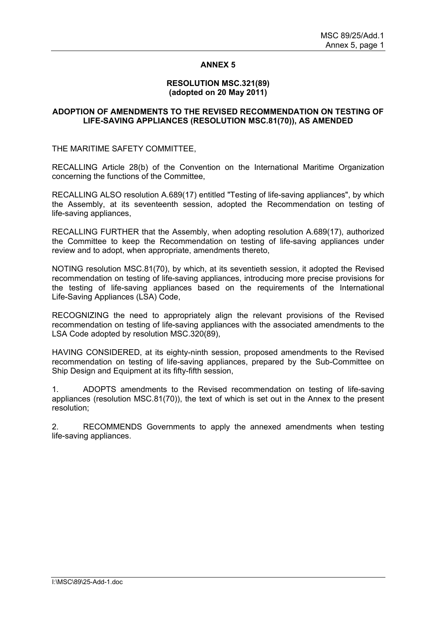# **ANNEX 5**

#### **RESOLUTION MSC.321(89) (adopted on 20 May 2011)**

## **ADOPTION OF AMENDMENTS TO THE REVISED RECOMMENDATION ON TESTING OF LIFE-SAVING APPLIANCES (RESOLUTION MSC.81(70)), AS AMENDED**

THE MARITIME SAFETY COMMITTEE,

RECALLING Article 28(b) of the Convention on the International Maritime Organization concerning the functions of the Committee,

RECALLING ALSO resolution A.689(17) entitled "Testing of life-saving appliances", by which the Assembly, at its seventeenth session, adopted the Recommendation on testing of life-saving appliances,

RECALLING FURTHER that the Assembly, when adopting resolution A.689(17), authorized the Committee to keep the Recommendation on testing of life-saving appliances under review and to adopt, when appropriate, amendments thereto,

NOTING resolution MSC.81(70), by which, at its seventieth session, it adopted the Revised recommendation on testing of life-saving appliances, introducing more precise provisions for the testing of life-saving appliances based on the requirements of the International Life-Saving Appliances (LSA) Code,

RECOGNIZING the need to appropriately align the relevant provisions of the Revised recommendation on testing of life-saving appliances with the associated amendments to the LSA Code adopted by resolution MSC.320(89),

HAVING CONSIDERED, at its eighty-ninth session, proposed amendments to the Revised recommendation on testing of life-saving appliances, prepared by the Sub-Committee on Ship Design and Equipment at its fifty-fifth session,

1. ADOPTS amendments to the Revised recommendation on testing of life-saving appliances (resolution MSC.81(70)), the text of which is set out in the Annex to the present resolution;

2. RECOMMENDS Governments to apply the annexed amendments when testing life-saving appliances.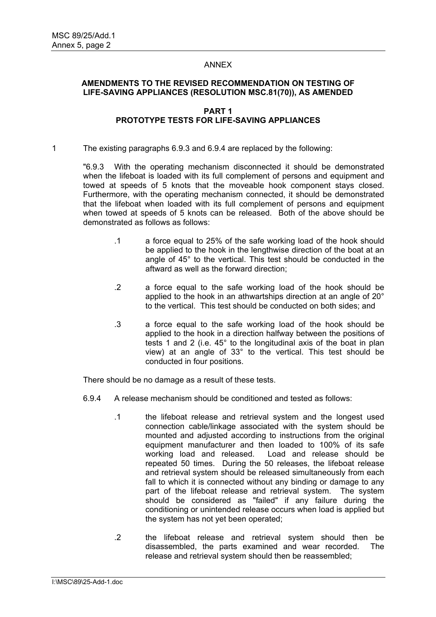### ANNEX

# **AMENDMENTS TO THE REVISED RECOMMENDATION ON TESTING OF LIFE-SAVING APPLIANCES (RESOLUTION MSC.81(70)), AS AMENDED**

## **PART 1 PROTOTYPE TESTS FOR LIFE-SAVING APPLIANCES**

1 The existing paragraphs 6.9.3 and 6.9.4 are replaced by the following:

"6.9.3 With the operating mechanism disconnected it should be demonstrated when the lifeboat is loaded with its full complement of persons and equipment and towed at speeds of 5 knots that the moveable hook component stays closed. Furthermore, with the operating mechanism connected, it should be demonstrated that the lifeboat when loaded with its full complement of persons and equipment when towed at speeds of 5 knots can be released. Both of the above should be demonstrated as follows as follows:

- .1 a force equal to 25% of the safe working load of the hook should be applied to the hook in the lengthwise direction of the boat at an angle of 45° to the vertical. This test should be conducted in the aftward as well as the forward direction;
- .2 a force equal to the safe working load of the hook should be applied to the hook in an athwartships direction at an angle of 20° to the vertical. This test should be conducted on both sides; and
- .3 a force equal to the safe working load of the hook should be applied to the hook in a direction halfway between the positions of tests 1 and 2 (i.e. 45° to the longitudinal axis of the boat in plan view) at an angle of 33° to the vertical. This test should be conducted in four positions.

There should be no damage as a result of these tests.

- 6.9.4 A release mechanism should be conditioned and tested as follows:
	- .1 the lifeboat release and retrieval system and the longest used connection cable/linkage associated with the system should be mounted and adjusted according to instructions from the original equipment manufacturer and then loaded to 100% of its safe working load and released. Load and release should be repeated 50 times. During the 50 releases, the lifeboat release and retrieval system should be released simultaneously from each fall to which it is connected without any binding or damage to any part of the lifeboat release and retrieval system. The system should be considered as "failed" if any failure during the conditioning or unintended release occurs when load is applied but the system has not yet been operated;
	- .2 the lifeboat release and retrieval system should then be disassembled, the parts examined and wear recorded. The release and retrieval system should then be reassembled;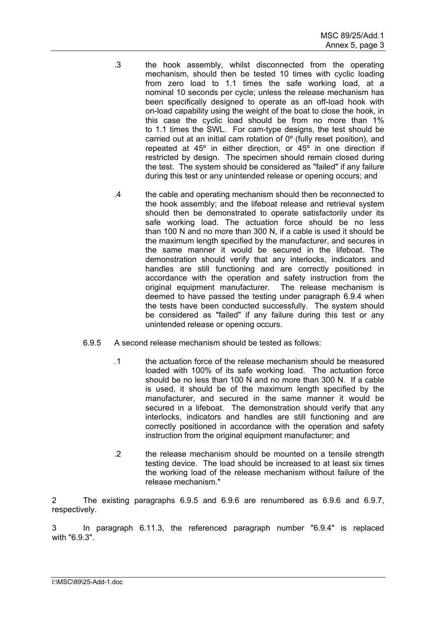- .3 the hook assembly, whilst disconnected from the operating mechanism, should then be tested 10 times with cyclic loading from zero load to 1.1 times the safe working load, at a nominal 10 seconds per cycle; unless the release mechanism has been specifically designed to operate as an off-load hook with on-load capability using the weight of the boat to close the hook, in this case the cyclic load should be from no more than 1% to 1.1 times the SWL. For cam-type designs, the test should be carried out at an initial cam rotation of 0º (fully reset position), and repeated at 45º in either direction, or 45º in one direction if restricted by design. The specimen should remain closed during the test. The system should be considered as "failed" if any failure during this test or any unintended release or opening occurs; and
- .4 the cable and operating mechanism should then be reconnected to the hook assembly; and the lifeboat release and retrieval system should then be demonstrated to operate satisfactorily under its safe working load. The actuation force should be no less than 100 N and no more than 300 N, if a cable is used it should be the maximum length specified by the manufacturer, and secures in the same manner it would be secured in the lifeboat. The demonstration should verify that any interlocks, indicators and handles are still functioning and are correctly positioned in accordance with the operation and safety instruction from the original equipment manufacturer. The release mechanism is deemed to have passed the testing under paragraph 6.9.4 when the tests have been conducted successfully. The system should be considered as "failed" if any failure during this test or any unintended release or opening occurs.
- 6.9.5 A second release mechanism should be tested as follows:
	- .1 the actuation force of the release mechanism should be measured loaded with 100% of its safe working load. The actuation force should be no less than 100 N and no more than 300 N. If a cable is used, it should be of the maximum length specified by the manufacturer, and secured in the same manner it would be secured in a lifeboat. The demonstration should verify that any interlocks, indicators and handles are still functioning and are correctly positioned in accordance with the operation and safety instruction from the original equipment manufacturer; and
	- .2 the release mechanism should be mounted on a tensile strength testing device. The load should be increased to at least six times the working load of the release mechanism without failure of the release mechanism."

2 The existing paragraphs 6.9.5 and 6.9.6 are renumbered as 6.9.6 and 6.9.7, respectively.

3 In paragraph 6.11.3, the referenced paragraph number "6.9.4" is replaced with "6.9.3"